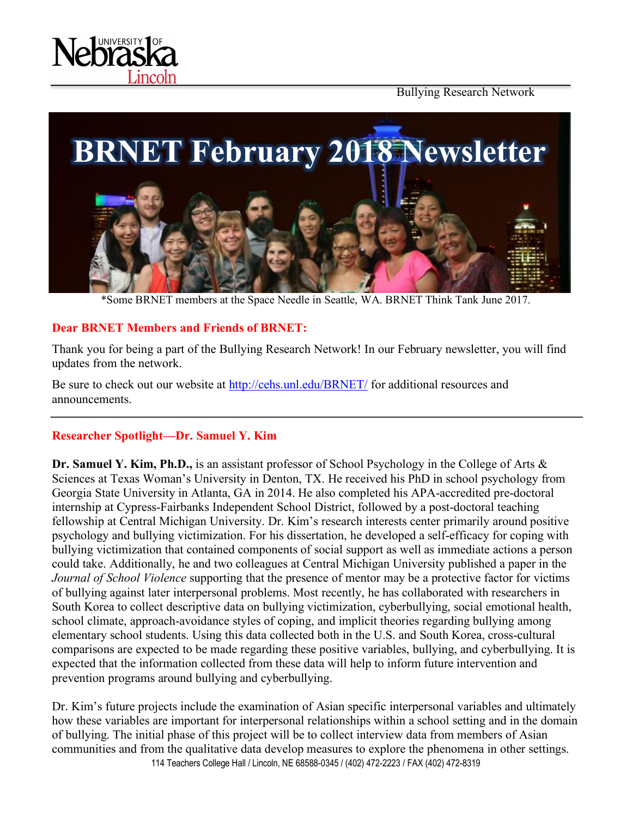

Bullying Research Network



\*Some BRNET members at the Space Needle in Seattle, WA. BRNET Think Tank June 2017.

#### **Dear BRNET Members and Friends of BRNET:**

Thank you for being a part of the Bullying Research Network! In our February newsletter, you will find updates from the network.

Be sure to check out our website at http://cehs.unl.edu/BRNET/ for additional resources and announcements.

### **Researcher Spotlight—Dr. Samuel Y. Kim**

**Dr. Samuel Y. Kim, Ph.D.,** is an assistant professor of School Psychology in the College of Arts & Sciences at Texas Woman's University in Denton, TX. He received his PhD in school psychology from Georgia State University in Atlanta, GA in 2014. He also completed his APA-accredited pre-doctoral internship at Cypress-Fairbanks Independent School District, followed by a post-doctoral teaching fellowship at Central Michigan University. Dr. Kim's research interests center primarily around positive psychology and bullying victimization. For his dissertation, he developed a self-efficacy for coping with bullying victimization that contained components of social support as well as immediate actions a person could take. Additionally, he and two colleagues at Central Michigan University published a paper in the *Journal of School Violence* supporting that the presence of mentor may be a protective factor for victims of bullying against later interpersonal problems. Most recently, he has collaborated with researchers in South Korea to collect descriptive data on bullying victimization, cyberbullying, social emotional health, school climate, approach-avoidance styles of coping, and implicit theories regarding bullying among elementary school students. Using this data collected both in the U.S. and South Korea, cross-cultural comparisons are expected to be made regarding these positive variables, bullying, and cyberbullying. It is expected that the information collected from these data will help to inform future intervention and prevention programs around bullying and cyberbullying.

114 Teachers College Hall / Lincoln, NE 68588-0345 / (402) 472-2223 / FAX (402) 472-8319 Dr. Kim's future projects include the examination of Asian specific interpersonal variables and ultimately how these variables are important for interpersonal relationships within a school setting and in the domain of bullying. The initial phase of this project will be to collect interview data from members of Asian communities and from the qualitative data develop measures to explore the phenomena in other settings.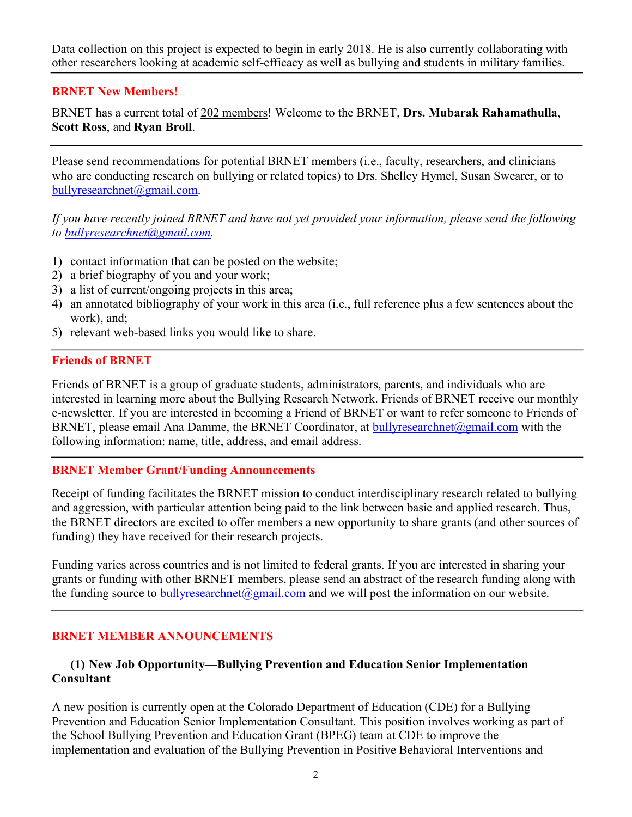Data collection on this project is expected to begin in early 2018. He is also currently collaborating with other researchers looking at academic self-efficacy as well as bullying and students in military families.

#### **BRNET New Members!**

BRNET has a current total of 202 members! Welcome to the BRNET, **Drs. Mubarak Rahamathulla**, **Scott Ross**, and **Ryan Broll**.

Please send recommendations for potential BRNET members (i.e., faculty, researchers, and clinicians who are conducting research on bullying or related topics) to Drs. Shelley Hymel, Susan Swearer, or to bullyresearchnet@gmail.com.

*If you have recently joined BRNET and have not yet provided your information, please send the following to bullyresearchnet@gmail.com.*

- 1) contact information that can be posted on the website;
- 2) a brief biography of you and your work;
- 3) a list of current/ongoing projects in this area;
- 4) an annotated bibliography of your work in this area (i.e., full reference plus a few sentences about the work), and;
- 5) relevant web-based links you would like to share.

#### **Friends of BRNET**

Friends of BRNET is a group of graduate students, administrators, parents, and individuals who are interested in learning more about the Bullying Research Network. Friends of BRNET receive our monthly e-newsletter. If you are interested in becoming a Friend of BRNET or want to refer someone to Friends of BRNET, please email Ana Damme, the BRNET Coordinator, at bullyresearchnet@gmail.com with the following information: name, title, address, and email address.

#### **BRNET Member Grant/Funding Announcements**

Receipt of funding facilitates the BRNET mission to conduct interdisciplinary research related to bullying and aggression, with particular attention being paid to the link between basic and applied research. Thus, the BRNET directors are excited to offer members a new opportunity to share grants (and other sources of funding) they have received for their research projects.

Funding varies across countries and is not limited to federal grants. If you are interested in sharing your grants or funding with other BRNET members, please send an abstract of the research funding along with the funding source to bullyresearchnet@gmail.com and we will post the information on our website.

### **BRNET MEMBER ANNOUNCEMENTS**

### **(1) New Job Opportunity—Bullying Prevention and Education Senior Implementation Consultant**

A new position is currently open at the Colorado Department of Education (CDE) for a Bullying Prevention and Education Senior Implementation Consultant. This position involves working as part of the School Bullying Prevention and Education Grant (BPEG) team at CDE to improve the implementation and evaluation of the Bullying Prevention in Positive Behavioral Interventions and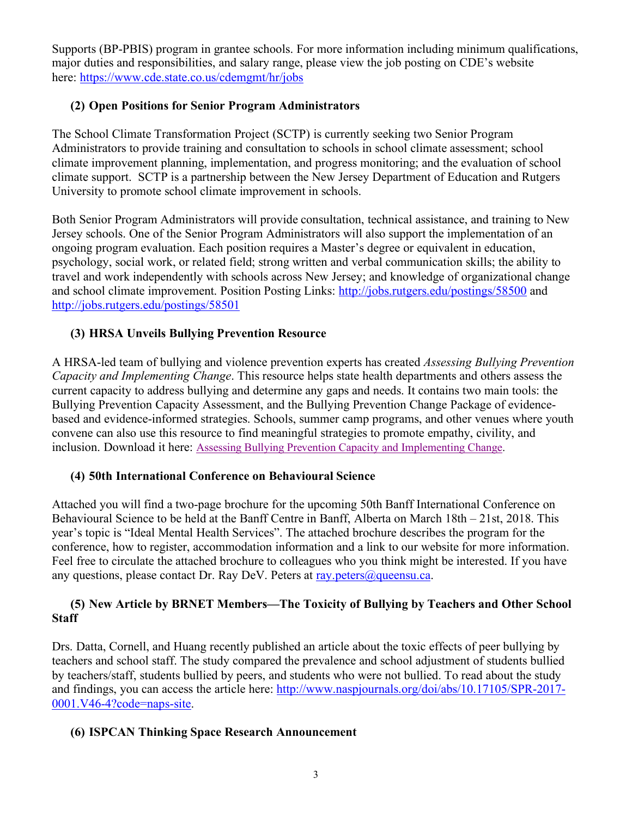Supports (BP-PBIS) program in grantee schools. For more information including minimum qualifications, major duties and responsibilities, and salary range, please view the job posting on CDE's website here: https://www.cde.state.co.us/cdemgmt/hr/jobs

# **(2) Open Positions for Senior Program Administrators**

The School Climate Transformation Project (SCTP) is currently seeking two Senior Program Administrators to provide training and consultation to schools in school climate assessment; school climate improvement planning, implementation, and progress monitoring; and the evaluation of school climate support. SCTP is a partnership between the New Jersey Department of Education and Rutgers University to promote school climate improvement in schools.

Both Senior Program Administrators will provide consultation, technical assistance, and training to New Jersey schools. One of the Senior Program Administrators will also support the implementation of an ongoing program evaluation. Each position requires a Master's degree or equivalent in education, psychology, social work, or related field; strong written and verbal communication skills; the ability to travel and work independently with schools across New Jersey; and knowledge of organizational change and school climate improvement. Position Posting Links: http://jobs.rutgers.edu/postings/58500 and http://jobs.rutgers.edu/postings/58501

# **(3) HRSA Unveils Bullying Prevention Resource**

A HRSA-led team of bullying and violence prevention experts has created *Assessing Bullying Prevention Capacity and Implementing Change*. This resource helps state health departments and others assess the current capacity to address bullying and determine any gaps and needs. It contains two main tools: the Bullying Prevention Capacity Assessment, and the Bullying Prevention Change Package of evidencebased and evidence-informed strategies. Schools, summer camp programs, and other venues where youth convene can also use this resource to find meaningful strategies to promote empathy, civility, and inclusion. Download it here: Assessing Bullying Prevention Capacity and Implementing Change.

# **(4) 50th International Conference on Behavioural Science**

Attached you will find a two-page brochure for the upcoming 50th Banff International Conference on Behavioural Science to be held at the Banff Centre in Banff, Alberta on March 18th – 21st, 2018. This year's topic is "Ideal Mental Health Services". The attached brochure describes the program for the conference, how to register, accommodation information and a link to our website for more information. Feel free to circulate the attached brochure to colleagues who you think might be interested. If you have any questions, please contact Dr. Ray DeV. Peters at ray. peters  $\omega$  queensu.ca.

## **(5) New Article by BRNET Members—The Toxicity of Bullying by Teachers and Other School Staff**

Drs. Datta, Cornell, and Huang recently published an article about the toxic effects of peer bullying by teachers and school staff. The study compared the prevalence and school adjustment of students bullied by teachers/staff, students bullied by peers, and students who were not bullied. To read about the study and findings, you can access the article here: http://www.naspjournals.org/doi/abs/10.17105/SPR-2017- 0001.V46-4?code=naps-site.

# **(6) ISPCAN Thinking Space Research Announcement**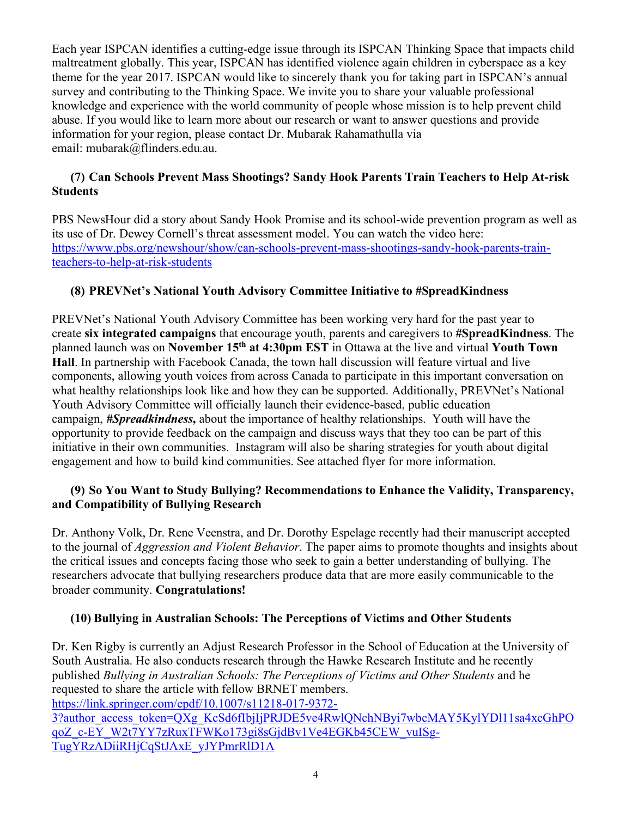Each year ISPCAN identifies a cutting-edge issue through its ISPCAN Thinking Space that impacts child maltreatment globally. This year, ISPCAN has identified violence again children in cyberspace as a key theme for the year 2017. ISPCAN would like to sincerely thank you for taking part in ISPCAN's annual survey and contributing to the Thinking Space. We invite you to share your valuable professional knowledge and experience with the world community of people whose mission is to help prevent child abuse. If you would like to learn more about our research or want to answer questions and provide information for your region, please contact Dr. Mubarak Rahamathulla via email: mubarak@flinders.edu.au.

## **(7) Can Schools Prevent Mass Shootings? Sandy Hook Parents Train Teachers to Help At-risk Students**

PBS NewsHour did a story about Sandy Hook Promise and its school-wide prevention program as well as its use of Dr. Dewey Cornell's threat assessment model. You can watch the video here: https://www.pbs.org/newshour/show/can-schools-prevent-mass-shootings-sandy-hook-parents-trainteachers-to-help-at-risk-students

# **(8) PREVNet's National Youth Advisory Committee Initiative to #SpreadKindness**

PREVNet's National Youth Advisory Committee has been working very hard for the past year to create **six integrated campaigns** that encourage youth, parents and caregivers to **#SpreadKindness**. The planned launch was on **November 15th at 4:30pm EST** in Ottawa at the live and virtual **Youth Town Hall**. In partnership with Facebook Canada, the town hall discussion will feature virtual and live components, allowing youth voices from across Canada to participate in this important conversation on what healthy relationships look like and how they can be supported. Additionally, PREVNet's National Youth Advisory Committee will officially launch their evidence-based, public education campaign, *#Spreadkindness***,** about the importance of healthy relationships. Youth will have the opportunity to provide feedback on the campaign and discuss ways that they too can be part of this initiative in their own communities. Instagram will also be sharing strategies for youth about digital engagement and how to build kind communities. See attached flyer for more information.

### **(9) So You Want to Study Bullying? Recommendations to Enhance the Validity, Transparency, and Compatibility of Bullying Research**

Dr. Anthony Volk, Dr. Rene Veenstra, and Dr. Dorothy Espelage recently had their manuscript accepted to the journal of *Aggression and Violent Behavior*. The paper aims to promote thoughts and insights about the critical issues and concepts facing those who seek to gain a better understanding of bullying. The researchers advocate that bullying researchers produce data that are more easily communicable to the broader community. **Congratulations!**

# **(10) Bullying in Australian Schools: The Perceptions of Victims and Other Students**

Dr. Ken Rigby is currently an Adjust Research Professor in the School of Education at the University of South Australia. He also conducts research through the Hawke Research Institute and he recently published *Bullying in Australian Schools: The Perceptions of Victims and Other Students* and he requested to share the article with fellow BRNET members.

https://link.springer.com/epdf/10.1007/s11218-017-9372-

3?author\_access\_token=QXg\_KcSd6fIbjIjPRJDE5ve4RwlQNchNByi7wbcMAY5KylYDl11sa4xcGhPO qoZ\_c-EY\_W2t7YY7zRuxTFWKo173gi8sGjdBv1Ve4EGKb45CEW\_vuISg-TugYRzADiiRHjCqStJAxE\_yJYPmrRlD1A